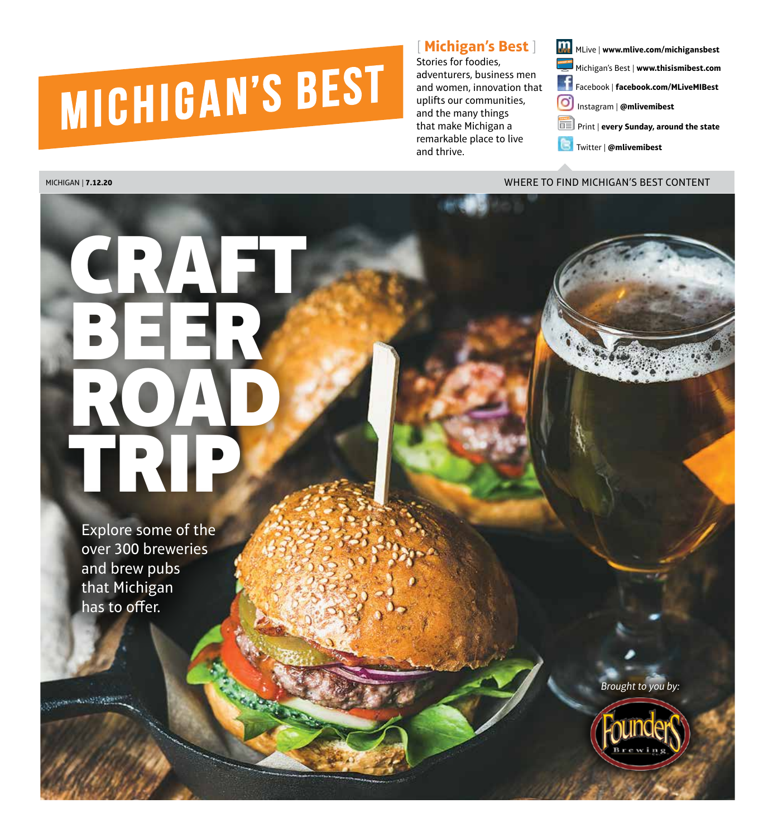# MICHIGAN'S BEST

# [ **Michigan's Best** ]

Stories for foodies, adventurers, business men and women, innovation that uplifts our communities, and the many things that make Michigan a remarkable place to live and thrive.

MLive | **www.mlive.com/michigansbest** Michigan's Best | **www.thisismibest.com**  Facebook | **facebook.com/MLiveMIBest** 

- ဝါ Instagram | **@mlivemibest**
- Print | **every Sunday, around the state**
- Twitter | **@mlivemibest**

## MICHIGAN | **7.12.20** WHERE TO FIND MICHIGAN'S BEST CONTENT

# ER ZAN BEER ROAD. TRIP

Explore some of the over 300 breweries and brew pubs that Michigan has to offer.

*Brought to you by:*



**MICHIGAN'S BEST** | 7.12.20 | 1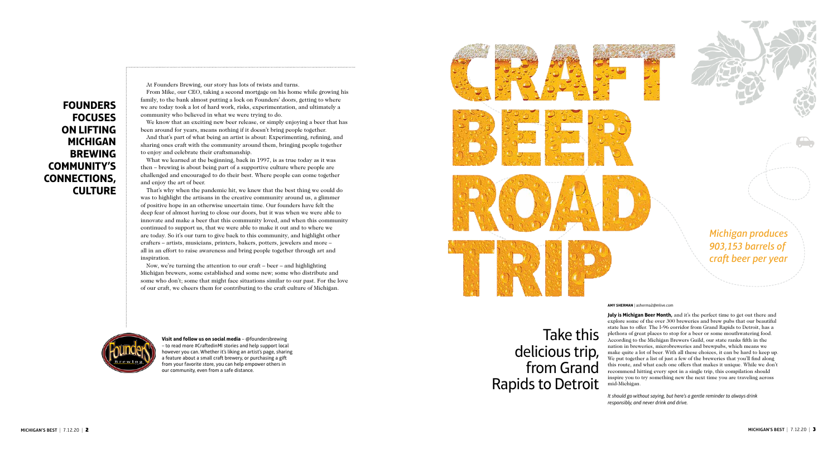*Michigan produces 903,153 barrels of craft beer per year*

Take this delicious trip, from Grand Rapids to Detroit **July is Michigan Beer Month,** and it's the perfect time to get out there and explore some of the over 300 breweries and brew pubs that our beautiful state has to offer. The I-96 corridor from Grand Rapids to Detroit, has a plethora of great places to stop for a beer or some mouthwatering food. According to the Michigan Brewers Guild, our state ranks fifth in the nation in breweries, microbreweries and brewpubs, which means we make quite a lot of beer. With all these choices, it can be hard to keep up. We put together a list of just a few of the breweries that you'll find along this route, and what each one offers that makes it unique. While we don't recommend hitting every spot in a single trip, this compilation should inspire you to try something new the next time you are traveling across mid-Michigan.

*It should go without saying, but here's a gentle reminder to always drink responsibly, and never drink and drive.*

**AMY SHERMAN** | asherma2@mlive.com

At Founders Brewing, our story has lots of twists and turns.

From Mike, our CEO, taking a second mortgage on his home while growing his family, to the bank almost putting a lock on Founders' doors, getting to where we are today took a lot of hard work, risks, experimentation, and ultimately a community who believed in what we were trying to do.

We know that an exciting new beer release, or simply enjoying a beer that has been around for years, means nothing if it doesn't bring people together.

And that's part of what being an artist is about: Experimenting, refining, and sharing ones craft with the community around them, bringing people together to enjoy and celebrate their craftsmanship.

What we learned at the beginning, back in 1997, is as true today as it was then – brewing is about being part of a supportive culture where people are challenged and encouraged to do their best. Where people can come together and enjoy the art of beer.

That's why when the pandemic hit, we knew that the best thing we could do was to highlight the artisans in the creative community around us, a glimmer of positive hope in an otherwise uncertain time. Our founders have felt the deep fear of almost having to close our doors, but it was when we were able to innovate and make a beer that this community loved, and when this community continued to support us, that we were able to make it out and to where we are today. So it's our turn to give back to this community, and highlight other crafters – artists, musicians, printers, bakers, potters, jewelers and more – all in an effort to raise awareness and bring people together through art and inspiration.

Now, we're turning the attention to our craft – beer – and highlighting Michigan brewers, some established and some new; some who distribute and some who don't; some that might face situations similar to our past. For the love of our craft, we cheers them for contributing to the craft culture of Michigan.





**Visit and follow us on social media** – @foundersbrewing – to read more #CraftedinMI stories and help support local however you can. Whether it's liking an artist's page, sharing a feature about a small craft brewery, or purchasing a gift from your favorite store, you can help empower others in our community, even from a safe distance.





**FOUNDERS FOCUSES ON LIFTING MICHIGAN BREWING COMMUNITY'S CONNECTIONS, CULTURE**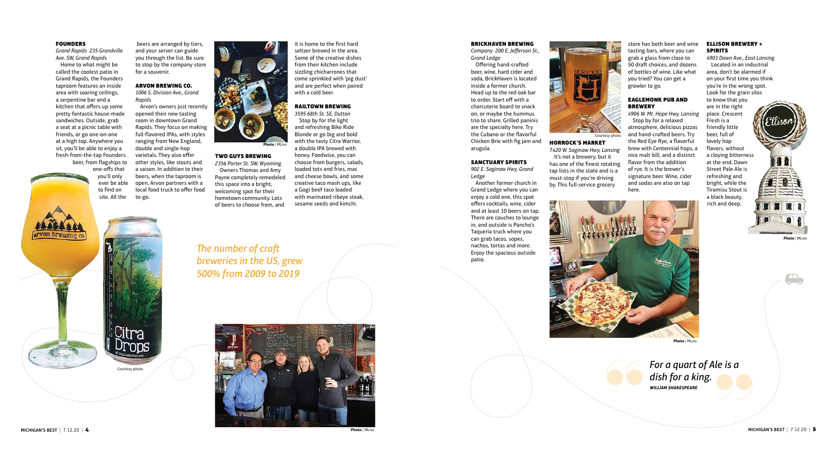

### BRICKHAVEN BREWING

*Company 200 E. Jefferson St., Grand Ledge*

Offering hand-crafted beer, wine, hard cider and soda, BrickHaven is located inside a former church. Head up to the red oak bar to order. Start off with a charcuterie board to snack on, or maybe the hummus trio to share. Grilled paninis are the specialty here. Try the Cubano or the flavorful Chicken Brie with fig jam and arugula.

### SANCTUARY SPIRITS

*902 E. Saginaw Hwy, Grand Ledge*

### EAGLEMONK PUB AND **BREWERY**

Another former church in Grand Ledge where you can enjoy a cold one, this spot offers cocktails, wine, cider and at least 10 beers on tap. There are couches to lounge in, and outside is Pancho's Taqueria truck where you can grab tacos, sopes, nachos, tortas and more. Enjoy the spacious outside patio.

# HORROCK'S MARKET

7*420 W. Saginaw Hwy, Lansing* It's not a brewery, but it has one of the finest rotating tap lists in the state and is a must-stop if you're driving by. This full-service grocery

store has both beer and wine tasting bars, where you can grab a glass from close to 50 draft choices, and dozens of bottles of wine. Like what you tried? You can get a growler to go.

*4906 W. Mt. Hope Hwy, Lansing* Stop by for a relaxed atmosphere, delicious pizzas and hand-crafted beers. Try the Red Eye Rye, a flavorful brew with Centennial hops, a nice malt bill, and a distinct flavor from the addition of rye. It is the brewer's signature beer. Wine, cider and sodas are also on tap here.

### ELLISON BREWERY + SPIRITS

*4903 Dawn Ave., East Lansing* Located in an industrial area, don't be alarmed if on your first time you think you're in the wrong spot. Look for the grain silos to know that you are in the right place. Crescent Fresh is a friendly little beer, full of lovely hop flavors, without a cloying bitterness at the end. Dawn Street Pale Ale is refreshing and bright, while the Tiramisu Stout is a black beauty, rich and deep.

Citra nns Courtesy photo

*For a quart of Ale is a dish for a king. WILLIAM SHAKESPEARE*

### **FOUNDERS**

*Grand Rapids 235 Grandville Ave. SW, Grand Rapids*

Home to what might be called the coolest patio in Grand Rapids, the Founders taproom features an inside area with soaring ceilings, a serpentine bar and a kitchen that offers up some pretty fantastic house-made sandwiches. Outside, grab a seat at a picnic table with friends, or go one-on-one at a high top. Anywhere you sit, you'll be able to enjoy a fresh-from-the-tap Founders beer, from flagships to

one-offs that you'll only ever be able to find on site. All the

 beers are arranged by tiers, and your server can guide you through the list. Be sure to stop by the company store for a souvenir.

### ARVON BREWING CO. *1006 S. Division Ave., Grand*

*Rapids* Arvon's owners just recently opened their new tasting room in downtown Grand Rapids. They focus on making full-flavored IPAs, with styles ranging from New England, double and single-hop varietals. They also offer other styles, like stouts and a saison. In addition to their beers, when the taproom is open, Arvon partners with a local food truck to offer food to-go.



### TWO GUYS BREWING

*2356 Porter St. SW, Wyoming* Owners Thomas and Amy Payne completely remodeled this space into a bright, welcoming spot for their hometown community. Lots of beers to choose from, and

it is home to the first hard seltzer brewed in the area. Some of the creative dishes from their kitchen include sizzling chicharrones that come sprinkled with 'pig dust' and are perfect when paired with a cold beer.

### RAILTOWN BREWING

*3595 68th St. SE, Dutton* Stop by for the light and refreshing Bike Ride Blonde or go big and bold with the tasty Citra Warrior, a double IPA brewed with honey. Foodwise, you can choose from burgers, salads, loaded tots and fries, mac and cheese bowls, and some creative taco mash ups, like a Gogi beef taco loaded with marinated ribeye steak, sesame seeds and kimchi.

*The number of craft breweries in the US, grew 500% from 2009 to 2019* 



arvon brewing co

Courtesy photo

**Photo** *|* MLive

**Photo** *|* MLive



### **Photo** *|* MLive

**Photo** *|* MLive

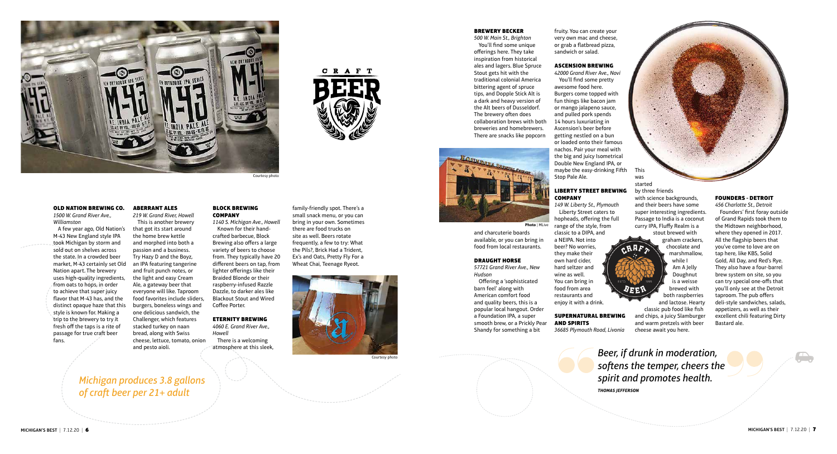### OLD NATION BREWING CO.

*1500 W. Grand River Ave., Williamston*

A few year ago, Old Nation's M-43 New England style IPA took Michigan by storm and sold out on shelves across the state. In a crowded beer market, M-43 certainly set Old Nation apart. The brewery uses high-quality ingredients, from oats to hops, in order to achieve that super juicy flavor that M-43 has, and the distinct opaque haze that this style is known for. Making a trip to the brewery to try it fresh off the taps is a rite of passage for true craft beer fans.

### ABERRANT ALES

*219 W. Grand River, Howell* This is another brewery that got its start around the home brew kettle and morphed into both a passion and a business. Try Hazy D and the Boyz, an IPA featuring tangerine and fruit punch notes, or the light and easy Cream Ale, a gateway beer that everyone will like. Taproom food favorites include sliders, burgers, boneless wings and one delicious sandwich, the Challenger, which features stacked turkey on naan bread, along with Swiss cheese, lettuce, tomato, onion and pesto aioli.

### BLOCK BREWING COMPANY

*1140 S. Michigan Ave., Howell* Known for their handcrafted barbecue, Block Brewing also offers a large variety of beers to choose from. They typically have 20 different beers on tap, from lighter offerings like their Braided Blonde or their raspberry-infused Razzle Dazzle, to darker ales like Blackout Stout and Wired Coffee Porter.

### ETERNITY BREWING

*4060 E. Grand River Ave., Howell*

There is a welcoming atmosphere at this sleek,

### LIBERTY STREET BREWING **COMPANY**

family-friendly spot. There's a small snack menu, or you can bring in your own. Sometimes there are food trucks on site as well. Beers rotate frequently, a few to try: What the Pils?, Brick Had a Trident, Ex's and Oats, Pretty Fly For a Wheat Chai, Teenage Ryeot.

C R A F T



Courtesy photo

*Michigan produces 3.8 gallons of craft beer per 21+ adult*



### BREWERY BECKER

*500 W. Main St., Brighton* You'll find some unique offerings here. They take inspiration from historical ales and lagers. Blue Spruce Stout gets hit with the traditional colonial America bittering agent of spruce tips, and Dopple Stick Alt is a dark and heavy version of the Alt beers of Dusseldorf. The brewery often does collaboration brews with both breweries and homebrewers. There are snacks like popcorn

and charcuterie boards available, or you can bring in food from local restaurants.

### DRAUGHT HORSE

*57721 Grand River Ave., New Hudson*

Offering a 'sophisticated barn feel' along with American comfort food and quality beers, this is a popular local hangout. Order a Foundation IPA, a super smooth brew, or a Prickly Pear Shandy for something a bit

fruity. You can create your very own mac and cheese, or grab a flatbread pizza, sandwich or salad.

### ASCENSION BREWING

*42000 Grand River Ave., Novi* You'll find some pretty awesome food here. Burgers come topped with fun things like bacon jam or mango jalapeno sauce, and pulled pork spends 14 hours luxuriating in Ascension's beer before getting nestled on a bun or loaded onto their famous nachos. Pair your meal with the big and juicy Isometrical Double New England IPA, or maybe the easy-drinking Fifth Stop Pale Ale.

*149 W. Liberty St., Plymouth* Liberty Street caters to hopheads, offering the full range of the style, from classic to a DIPA, and a NEIPA. Not into beer? No worries, they make their own hard cider, hard seltzer and wine as well. You can bring in food from area restaurants and enjoy it with a drink.

## SUPERNATURAL BREWING AND SPIRITS

*36685 Plymouth Road, Livonia*



by three friends with science backgrounds, and their beers have some super interesting ingredients. Passage to India is a coconut curry IPA, Fluffy Realm is a stout brewed with

 $MRF<sub>2</sub>$ 

graham crackers, chocolate and marshmallow, while I Am A Jelly Doughnut is a weisse brewed with both raspberries

and lactose. Hearty classic pub food like fish and chips, a juicy Slamburger and warm pretzels with beer cheese await you here.

### FOUNDERS - DETROIT

*456 Charlotte St., Detroit* Founders' first foray outside of Grand Rapids took them to the Midtown neighborhood, where they opened in 2017. All the flagship beers that you've come to love are on tap here, like KBS, Solid Gold, All Day, and Red's Rye. They also have a four-barrel brew system on site, so you can try special one-offs that you'll only see at the Detroit taproom. The pub offers deli-style sandwiches, salads, appetizers, as well as their excellent chili featuring Dirty Bastard ale.

*Beer, if drunk in moderation, softens the temper, cheers the spirit and promotes health.*

*THOMAS JEFFERSON*